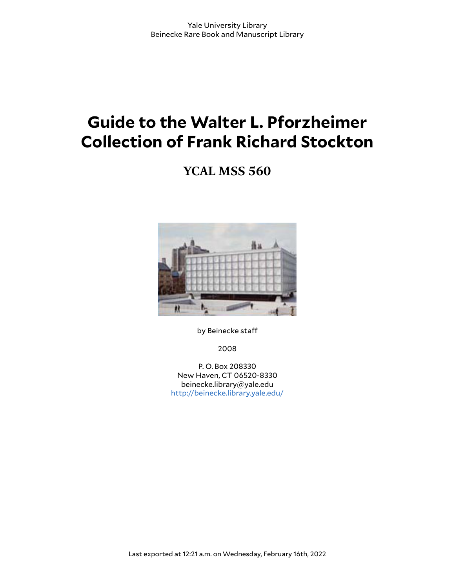# **Guide to the Walter L. Pforzheimer Collection of Frank Richard Stockton**

**YCAL MSS 560**



by Beinecke staff

2008

P. O. Box 208330 New Haven, CT 06520-8330 beinecke.library@yale.edu <http://beinecke.library.yale.edu/>

Last exported at 12:21 a.m. on Wednesday, February 16th, 2022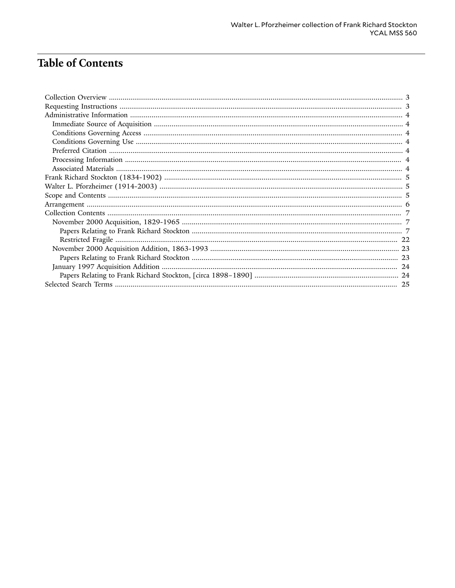# **Table of Contents**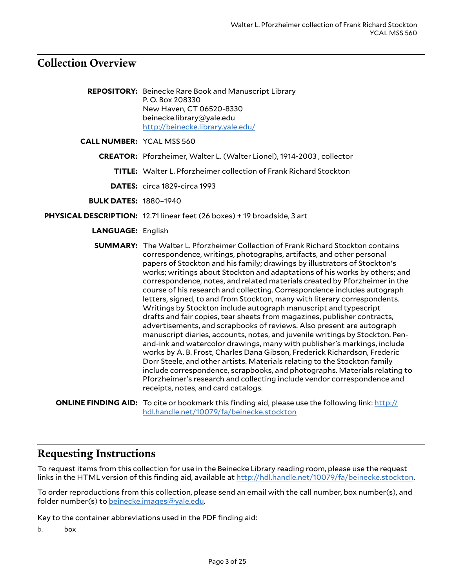## <span id="page-2-0"></span>**Collection Overview**

| <b>REPOSITORY:</b> Beinecke Rare Book and Manuscript Library |
|--------------------------------------------------------------|
| P.O. Box 208330                                              |
| New Haven, CT 06520-8330                                     |
| beinecke.library@yale.edu                                    |
| http://beinecke.library.yale.edu/                            |
|                                                              |

**CALL NUMBER:** YCAL MSS 560

**CREATOR:** Pforzheimer, Walter L. (Walter Lionel), 1914-2003 , collector

**TITLE:** Walter L. Pforzheimer collection of Frank Richard Stockton

**DATES:** circa 1829-circa 1993

**BULK DATES:** 1880–1940

**PHYSICAL DESCRIPTION:** 12.71 linear feet (26 boxes) + 19 broadside, 3 art

**LANGUAGE:** English

**SUMMARY:** The Walter L. Pforzheimer Collection of Frank Richard Stockton contains correspondence, writings, photographs, artifacts, and other personal papers of Stockton and his family; drawings by illustrators of Stockton's works; writings about Stockton and adaptations of his works by others; and correspondence, notes, and related materials created by Pforzheimer in the course of his research and collecting. Correspondence includes autograph letters, signed, to and from Stockton, many with literary correspondents. Writings by Stockton include autograph manuscript and typescript drafts and fair copies, tear sheets from magazines, publisher contracts, advertisements, and scrapbooks of reviews. Also present are autograph manuscript diaries, accounts, notes, and juvenile writings by Stockton. Penand-ink and watercolor drawings, many with publisher's markings, include works by A. B. Frost, Charles Dana Gibson, Frederick Richardson, Frederic Dorr Steele, and other artists. Materials relating to the Stockton family include correspondence, scrapbooks, and photographs. Materials relating to Pforzheimer's research and collecting include vendor correspondence and receipts, notes, and card catalogs.

**ONLINE FINDING AID:** To cite or bookmark this finding aid, please use the following link: [http://](http://hdl.handle.net/10079/fa/beinecke.stockton) [hdl.handle.net/10079/fa/beinecke.stockton](http://hdl.handle.net/10079/fa/beinecke.stockton)

### <span id="page-2-1"></span>**Requesting Instructions**

To request items from this collection for use in the Beinecke Library reading room, please use the request links in the HTML version of this finding aid, available at [http://hdl.handle.net/10079/fa/beinecke.stockton.](http://hdl.handle.net/10079/fa/beinecke.stockton)

To order reproductions from this collection, please send an email with the call number, box number(s), and folder number(s) to [beinecke.images@yale.edu.](mailto:beinecke.images@yale.edu)

Key to the container abbreviations used in the PDF finding aid:

b. box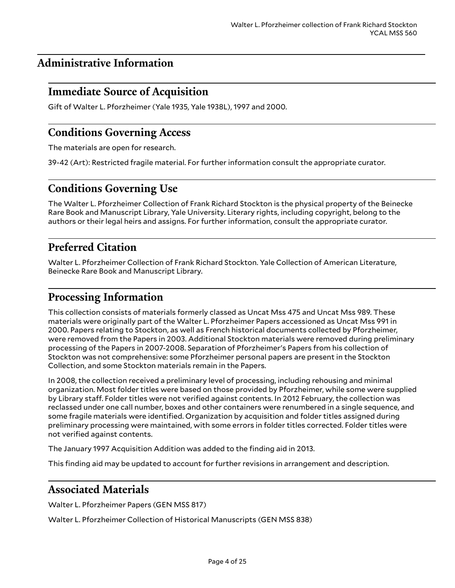# <span id="page-3-0"></span>**Administrative Information**

# <span id="page-3-1"></span>**Immediate Source of Acquisition**

Gift of Walter L. Pforzheimer (Yale 1935, Yale 1938L), 1997 and 2000.

### <span id="page-3-2"></span>**Conditions Governing Access**

The materials are open for research.

39-42 (Art): Restricted fragile material. For further information consult the appropriate curator.

# <span id="page-3-3"></span>**Conditions Governing Use**

The Walter L. Pforzheimer Collection of Frank Richard Stockton is the physical property of the Beinecke Rare Book and Manuscript Library, Yale University. Literary rights, including copyright, belong to the authors or their legal heirs and assigns. For further information, consult the appropriate curator.

# <span id="page-3-4"></span>**Preferred Citation**

Walter L. Pforzheimer Collection of Frank Richard Stockton. Yale Collection of American Literature, Beinecke Rare Book and Manuscript Library.

# <span id="page-3-5"></span>**Processing Information**

This collection consists of materials formerly classed as Uncat Mss 475 and Uncat Mss 989. These materials were originally part of the Walter L. Pforzheimer Papers accessioned as Uncat Mss 991 in 2000. Papers relating to Stockton, as well as French historical documents collected by Pforzheimer, were removed from the Papers in 2003. Additional Stockton materials were removed during preliminary processing of the Papers in 2007-2008. Separation of Pforzheimer's Papers from his collection of Stockton was not comprehensive: some Pforzheimer personal papers are present in the Stockton Collection, and some Stockton materials remain in the Papers.

In 2008, the collection received a preliminary level of processing, including rehousing and minimal organization. Most folder titles were based on those provided by Pforzheimer, while some were supplied by Library staff. Folder titles were not verified against contents. In 2012 February, the collection was reclassed under one call number, boxes and other containers were renumbered in a single sequence, and some fragile materials were identified. Organization by acquisition and folder titles assigned during preliminary processing were maintained, with some errors in folder titles corrected. Folder titles were not verified against contents.

The January 1997 Acquisition Addition was added to the finding aid in 2013.

This finding aid may be updated to account for further revisions in arrangement and description.

### <span id="page-3-6"></span>**Associated Materials**

Walter L. Pforzheimer Papers (GEN MSS 817)

Walter L. Pforzheimer Collection of Historical Manuscripts (GEN MSS 838)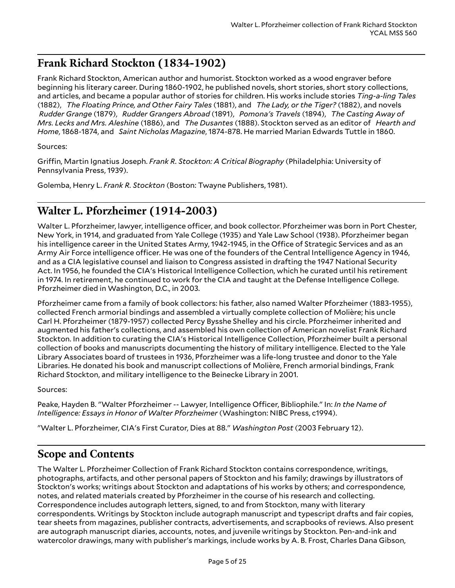# <span id="page-4-0"></span>**Frank Richard Stockton (1834-1902)**

Frank Richard Stockton, American author and humorist. Stockton worked as a wood engraver before beginning his literary career. During 1860-1902, he published novels, short stories, short story collections, and articles, and became a popular author of stories for children. His works include stories *Ting-a-ling Tales* (1882), *The Floating Prince, and Other Fairy Tales* (1881), and *The Lady, or the Tiger?* (1882), and novels *Rudder Grange* (1879), *Rudder Grangers Abroad* (1891), *Pomona's Travels* (1894), *The Casting Away of Mrs. Lecks and Mrs. Aleshine* (1886), and *The Dusantes* (1888). Stockton served as an editor of *Hearth and Home*, 1868-1874, and *Saint Nicholas Magazine*, 1874-878. He married Marian Edwards Tuttle in 1860.

#### Sources:

Griffin, Martin Ignatius Joseph. *Frank R. Stockton: A Critical Biography* (Philadelphia: University of Pennsylvania Press, 1939).

Golemba, Henry L. *Frank R. Stockton* (Boston: Twayne Publishers, 1981).

# <span id="page-4-1"></span>**Walter L. Pforzheimer (1914-2003)**

Walter L. Pforzheimer, lawyer, intelligence officer, and book collector. Pforzheimer was born in Port Chester, New York, in 1914, and graduated from Yale College (1935) and Yale Law School (1938). Pforzheimer began his intelligence career in the United States Army, 1942-1945, in the Office of Strategic Services and as an Army Air Force intelligence officer. He was one of the founders of the Central Intelligence Agency in 1946, and as a CIA legislative counsel and liaison to Congress assisted in drafting the 1947 National Security Act. In 1956, he founded the CIA's Historical Intelligence Collection, which he curated until his retirement in 1974. In retirement, he continued to work for the CIA and taught at the Defense Intelligence College. Pforzheimer died in Washington, D.C., in 2003.

Pforzheimer came from a family of book collectors: his father, also named Walter Pforzheimer (1883-1955), collected French armorial bindings and assembled a virtually complete collection of Molière; his uncle Carl H. Pforzheimer (1879-1957) collected Percy Bysshe Shelley and his circle. Pforzheimer inherited and augmented his father's collections, and assembled his own collection of American novelist Frank Richard Stockton. In addition to curating the CIA's Historical Intelligence Collection, Pforzheimer built a personal collection of books and manuscripts documenting the history of military intelligence. Elected to the Yale Library Associates board of trustees in 1936, Pforzheimer was a life-long trustee and donor to the Yale Libraries. He donated his book and manuscript collections of Molière, French armorial bindings, Frank Richard Stockton, and military intelligence to the Beinecke Library in 2001.

Sources:

Peake, Hayden B. "Walter Pforzheimer -- Lawyer, Intelligence Officer, Bibliophile." In: In the Name of *Intelligence: Essays in Honor of Walter Pforzheimer* (Washington: NIBC Press, c1994).

"Walter L. Pforzheimer, CIA's First Curator, Dies at 88." *Washington Post* (2003 February 12).

# <span id="page-4-2"></span>**Scope and Contents**

The Walter L. Pforzheimer Collection of Frank Richard Stockton contains correspondence, writings, photographs, artifacts, and other personal papers of Stockton and his family; drawings by illustrators of Stockton's works; writings about Stockton and adaptations of his works by others; and correspondence, notes, and related materials created by Pforzheimer in the course of his research and collecting. Correspondence includes autograph letters, signed, to and from Stockton, many with literary correspondents. Writings by Stockton include autograph manuscript and typescript drafts and fair copies, tear sheets from magazines, publisher contracts, advertisements, and scrapbooks of reviews. Also present are autograph manuscript diaries, accounts, notes, and juvenile writings by Stockton. Pen-and-ink and watercolor drawings, many with publisher's markings, include works by A. B. Frost, Charles Dana Gibson,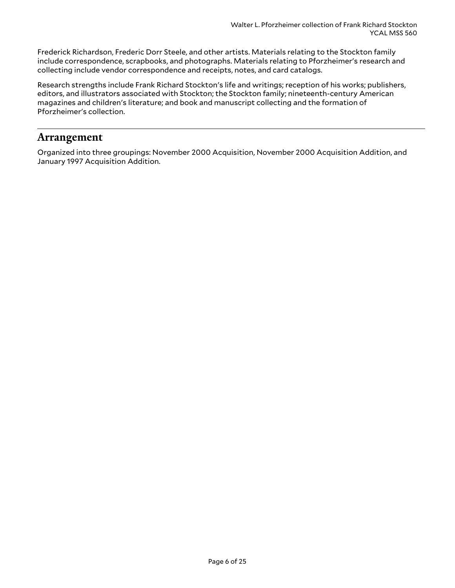Frederick Richardson, Frederic Dorr Steele, and other artists. Materials relating to the Stockton family include correspondence, scrapbooks, and photographs. Materials relating to Pforzheimer's research and collecting include vendor correspondence and receipts, notes, and card catalogs.

Research strengths include Frank Richard Stockton's life and writings; reception of his works; publishers, editors, and illustrators associated with Stockton; the Stockton family; nineteenth-century American magazines and children's literature; and book and manuscript collecting and the formation of Pforzheimer's collection.

### <span id="page-5-0"></span>**Arrangement**

Organized into three groupings: November 2000 Acquisition, November 2000 Acquisition Addition, and January 1997 Acquisition Addition.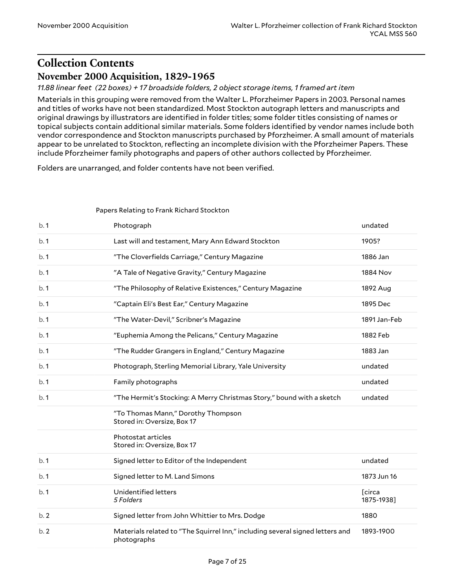# <span id="page-6-0"></span>**Collection Contents November 2000 Acquisition, 1829-1965**

<span id="page-6-1"></span>*11.88 linear feet (22 boxes) + 17 broadside folders, 2 object storage items, 1 framed art item*

Materials in this grouping were removed from the Walter L. Pforzheimer Papers in 2003. Personal names and titles of works have not been standardized. Most Stockton autograph letters and manuscripts and original drawings by illustrators are identified in folder titles; some folder titles consisting of names or topical subjects contain additional similar materials. Some folders identified by vendor names include both vendor correspondence and Stockton manuscripts purchased by Pforzheimer. A small amount of materials appear to be unrelated to Stockton, reflecting an incomplete division with the Pforzheimer Papers. These include Pforzheimer family photographs and papers of other authors collected by Pforzheimer.

Folders are unarranged, and folder contents have not been verified.

<span id="page-6-2"></span>

| Papers Relating to Frank Richard Stockton |
|-------------------------------------------|
|-------------------------------------------|

| b.1 | Photograph                                                                                   | undated                      |
|-----|----------------------------------------------------------------------------------------------|------------------------------|
| b.1 | Last will and testament, Mary Ann Edward Stockton                                            | 1905?                        |
| b.1 | "The Cloverfields Carriage," Century Magazine                                                | 1886 Jan                     |
| b.1 | "A Tale of Negative Gravity," Century Magazine                                               | <b>1884 Nov</b>              |
| b.1 | "The Philosophy of Relative Existences," Century Magazine                                    | 1892 Aug                     |
| b.1 | "Captain Eli's Best Ear," Century Magazine                                                   | 1895 Dec                     |
| b.1 | "The Water-Devil," Scribner's Magazine                                                       | 1891 Jan-Feb                 |
| b.1 | "Euphemia Among the Pelicans," Century Magazine                                              | 1882 Feb                     |
| b.1 | "The Rudder Grangers in England," Century Magazine                                           | 1883 Jan                     |
| b.1 | Photograph, Sterling Memorial Library, Yale University                                       | undated                      |
| b.1 | Family photographs                                                                           | undated                      |
| b.1 | "The Hermit's Stocking: A Merry Christmas Story," bound with a sketch                        | undated                      |
|     | "To Thomas Mann," Dorothy Thompson<br>Stored in: Oversize, Box 17                            |                              |
|     | Photostat articles<br>Stored in: Oversize, Box 17                                            |                              |
| b.1 | Signed letter to Editor of the Independent                                                   | undated                      |
| b.1 | Signed letter to M. Land Simons                                                              | 1873 Jun 16                  |
| b.1 | Unidentified letters<br>5 Folders                                                            | <b>T</b> circa<br>1875-1938] |
| b.2 | Signed letter from John Whittier to Mrs. Dodge                                               | 1880                         |
| b.2 | Materials related to "The Squirrel Inn," including several signed letters and<br>photographs | 1893-1900                    |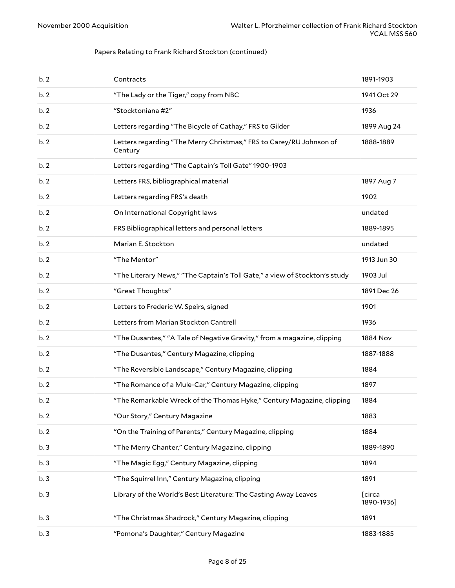| b.2 | Contracts                                                                      | 1891-1903            |
|-----|--------------------------------------------------------------------------------|----------------------|
| b.2 | "The Lady or the Tiger," copy from NBC                                         | 1941 Oct 29          |
| b.2 | "Stocktoniana #2"                                                              | 1936                 |
| b.2 | Letters regarding "The Bicycle of Cathay," FRS to Gilder                       | 1899 Aug 24          |
| b.2 | Letters regarding "The Merry Christmas," FRS to Carey/RU Johnson of<br>Century | 1888-1889            |
| b.2 | Letters regarding "The Captain's Toll Gate" 1900-1903                          |                      |
| b.2 | Letters FRS, bibliographical material                                          | 1897 Aug 7           |
| b.2 | Letters regarding FRS's death                                                  | 1902                 |
| b.2 | On International Copyright laws                                                | undated              |
| b.2 | FRS Bibliographical letters and personal letters                               | 1889-1895            |
| b.2 | Marian E. Stockton                                                             | undated              |
| b.2 | "The Mentor"                                                                   | 1913 Jun 30          |
| b.2 | "The Literary News," "The Captain's Toll Gate," a view of Stockton's study     | 1903 Jul             |
| b.2 | "Great Thoughts"                                                               | 1891 Dec 26          |
| b.2 | Letters to Frederic W. Speirs, signed                                          | 1901                 |
| b.2 | Letters from Marian Stockton Cantrell                                          | 1936                 |
| b.2 | "The Dusantes," "A Tale of Negative Gravity," from a magazine, clipping        | 1884 Nov             |
| b.2 | "The Dusantes," Century Magazine, clipping                                     | 1887-1888            |
| b.2 | "The Reversible Landscape," Century Magazine, clipping                         | 1884                 |
| b.2 | "The Romance of a Mule-Car," Century Magazine, clipping                        | 1897                 |
| b.2 | "The Remarkable Wreck of the Thomas Hyke," Century Magazine, clipping          | 1884                 |
| b.2 | "Our Story," Century Magazine                                                  | 1883                 |
| b.2 | "On the Training of Parents," Century Magazine, clipping                       | 1884                 |
| b.3 | "The Merry Chanter," Century Magazine, clipping                                | 1889-1890            |
| b.3 | "The Magic Egg," Century Magazine, clipping                                    | 1894                 |
| b.3 | "The Squirrel Inn," Century Magazine, clipping                                 | 1891                 |
| b.3 | Library of the World's Best Literature: The Casting Away Leaves                | [circa<br>1890-1936] |
| b.3 | "The Christmas Shadrock," Century Magazine, clipping                           | 1891                 |
| b.3 | "Pomona's Daughter," Century Magazine                                          | 1883-1885            |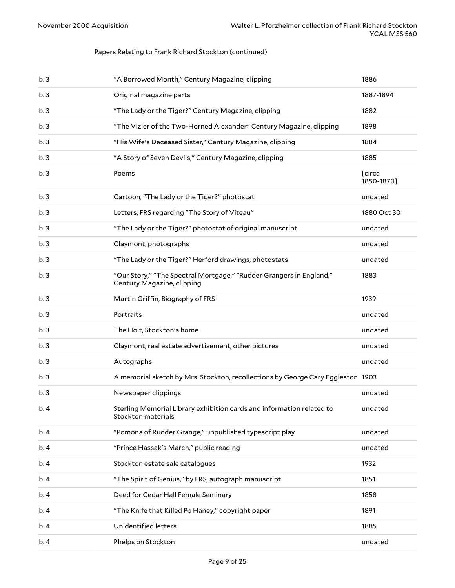| b.3 | "A Borrowed Month," Century Magazine, clipping                                                    | 1886                 |
|-----|---------------------------------------------------------------------------------------------------|----------------------|
| b.3 | Original magazine parts                                                                           | 1887-1894            |
| b.3 | "The Lady or the Tiger?" Century Magazine, clipping                                               | 1882                 |
| b.3 | "The Vizier of the Two-Horned Alexander" Century Magazine, clipping                               | 1898                 |
| b.3 | "His Wife's Deceased Sister," Century Magazine, clipping                                          | 1884                 |
| b.3 | "A Story of Seven Devils," Century Magazine, clipping                                             | 1885                 |
| b.3 | Poems                                                                                             | [circa<br>1850-1870] |
| b.3 | Cartoon, "The Lady or the Tiger?" photostat                                                       | undated              |
| b.3 | Letters, FRS regarding "The Story of Viteau"                                                      | 1880 Oct 30          |
| b.3 | "The Lady or the Tiger?" photostat of original manuscript                                         | undated              |
| b.3 | Claymont, photographs                                                                             | undated              |
| b.3 | "The Lady or the Tiger?" Herford drawings, photostats                                             | undated              |
| b.3 | "Our Story," "The Spectral Mortgage," "Rudder Grangers in England,"<br>Century Magazine, clipping | 1883                 |
| b.3 | Martin Griffin, Biography of FRS                                                                  | 1939                 |
| b.3 | Portraits                                                                                         | undated              |
| b.3 | The Holt, Stockton's home                                                                         | undated              |
| b.3 | Claymont, real estate advertisement, other pictures                                               | undated              |
| b.3 | Autographs                                                                                        | undated              |
| b.3 | A memorial sketch by Mrs. Stockton, recollections by George Cary Eggleston 1903                   |                      |
| b.3 | Newspaper clippings                                                                               | undated              |
| b.4 | Sterling Memorial Library exhibition cards and information related to<br>Stockton materials       | undated              |
| b.4 | "Pomona of Rudder Grange," unpublished typescript play                                            | undated              |
| b.4 | "Prince Hassak's March," public reading                                                           | undated              |
| b.4 | Stockton estate sale catalogues                                                                   | 1932                 |
| b.4 | "The Spirit of Genius," by FRS, autograph manuscript                                              | 1851                 |
| b.4 | Deed for Cedar Hall Female Seminary                                                               | 1858                 |
| b.4 | "The Knife that Killed Po Haney," copyright paper                                                 | 1891                 |
| b.4 | Unidentified letters                                                                              | 1885                 |
| b.4 | Phelps on Stockton                                                                                | undated              |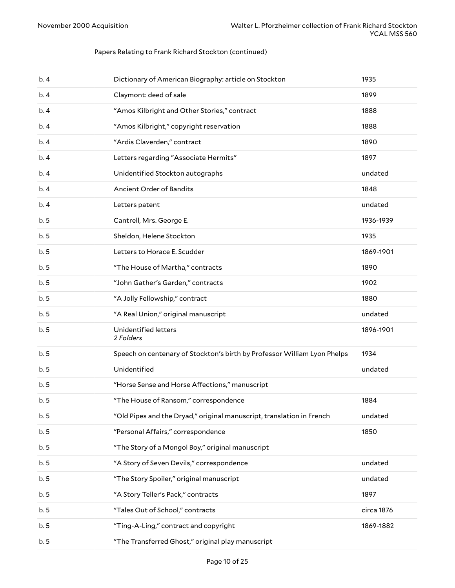| b.4 | Dictionary of American Biography: article on Stockton                    | 1935       |
|-----|--------------------------------------------------------------------------|------------|
| b.4 | Claymont: deed of sale                                                   | 1899       |
| b.4 | "Amos Kilbright and Other Stories," contract                             | 1888       |
| b.4 | "Amos Kilbright," copyright reservation                                  | 1888       |
| b.4 | "Ardis Claverden," contract                                              | 1890       |
| b.4 | Letters regarding "Associate Hermits"                                    | 1897       |
| b.4 | Unidentified Stockton autographs                                         | undated    |
| b.4 | Ancient Order of Bandits                                                 | 1848       |
| b.4 | Letters patent                                                           | undated    |
| b.5 | Cantrell, Mrs. George E.                                                 | 1936-1939  |
| b.5 | Sheldon, Helene Stockton                                                 | 1935       |
| b.5 | Letters to Horace E. Scudder                                             | 1869-1901  |
| b.5 | "The House of Martha," contracts                                         | 1890       |
| b.5 | "John Gather's Garden," contracts                                        | 1902       |
| b.5 | "A Jolly Fellowship," contract                                           | 1880       |
| b.5 | "A Real Union," original manuscript                                      | undated    |
| b.5 | Unidentified letters<br>2 Folders                                        | 1896-1901  |
| b.5 | Speech on centenary of Stockton's birth by Professor William Lyon Phelps | 1934       |
| b.5 | Unidentified                                                             | undated    |
| b.5 | "Horse Sense and Horse Affections," manuscript                           |            |
| b.5 | "The House of Ransom," correspondence                                    | 1884       |
| b.5 | "Old Pipes and the Dryad," original manuscript, translation in French    | undated    |
| b.5 | "Personal Affairs," correspondence                                       | 1850       |
| b.5 | "The Story of a Mongol Boy," original manuscript                         |            |
| b.5 | "A Story of Seven Devils," correspondence                                | undated    |
| b.5 | "The Story Spoiler," original manuscript                                 | undated    |
| b.5 | "A Story Teller's Pack," contracts                                       | 1897       |
| b.5 | "Tales Out of School," contracts                                         | circa 1876 |
| b.5 | "Ting-A-Ling," contract and copyright                                    | 1869-1882  |
| b.5 | "The Transferred Ghost," original play manuscript                        |            |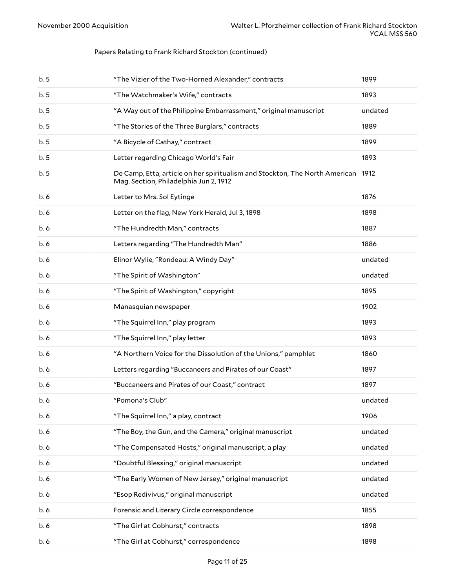| b.5 | "The Vizier of the Two-Horned Alexander," contracts                                                                        | 1899    |
|-----|----------------------------------------------------------------------------------------------------------------------------|---------|
| b.5 | "The Watchmaker's Wife," contracts                                                                                         | 1893    |
| b.5 | "A Way out of the Philippine Embarrassment," original manuscript                                                           | undated |
| b.5 | "The Stories of the Three Burglars," contracts                                                                             | 1889    |
| b.5 | "A Bicycle of Cathay," contract                                                                                            | 1899    |
| b.5 | Letter regarding Chicago World's Fair                                                                                      | 1893    |
| b.5 | De Camp, Etta, article on her spiritualism and Stockton, The North American 1912<br>Mag. Section, Philadelphia Jun 2, 1912 |         |
| b.6 | Letter to Mrs. Sol Eytinge                                                                                                 | 1876    |
| b.6 | Letter on the flag, New York Herald, Jul 3, 1898                                                                           | 1898    |
| b.6 | "The Hundredth Man," contracts                                                                                             | 1887    |
| b.6 | Letters regarding "The Hundredth Man"                                                                                      | 1886    |
| b.6 | Elinor Wylie, "Rondeau: A Windy Day"                                                                                       | undated |
| b.6 | "The Spirit of Washington"                                                                                                 | undated |
| b.6 | "The Spirit of Washington," copyright                                                                                      | 1895    |
| b.6 | Manasquian newspaper                                                                                                       | 1902    |
| b.6 | "The Squirrel Inn," play program                                                                                           | 1893    |
| b.6 | "The Squirrel Inn," play letter                                                                                            | 1893    |
| b.6 | "A Northern Voice for the Dissolution of the Unions," pamphlet                                                             | 1860    |
| b.6 | Letters regarding "Buccaneers and Pirates of our Coast"                                                                    | 1897    |
| b.6 | "Buccaneers and Pirates of our Coast," contract                                                                            | 1897    |
| b.6 | "Pomona's Club"                                                                                                            | undated |
| b.6 | "The Squirrel Inn," a play, contract                                                                                       | 1906    |
| b.6 | "The Boy, the Gun, and the Camera," original manuscript                                                                    | undated |
| b.6 | "The Compensated Hosts," original manuscript, a play                                                                       | undated |
| b.6 | "Doubtful Blessing," original manuscript                                                                                   | undated |
| b.6 | "The Early Women of New Jersey," original manuscript                                                                       | undated |
| b.6 | "Esop Redivivus," original manuscript                                                                                      | undated |
| b.6 | Forensic and Literary Circle correspondence                                                                                | 1855    |
| b.6 | "The Girl at Cobhurst," contracts                                                                                          | 1898    |
| b.6 | "The Girl at Cobhurst," correspondence                                                                                     | 1898    |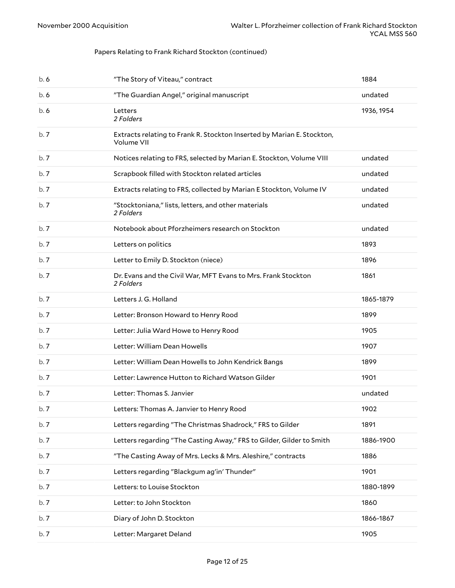| b.6  | "The Story of Viteau," contract                                                      | 1884       |
|------|--------------------------------------------------------------------------------------|------------|
| b.6  | "The Guardian Angel," original manuscript                                            | undated    |
| b.6  | Letters<br>2 Folders                                                                 | 1936, 1954 |
| b.7  | Extracts relating to Frank R. Stockton Inserted by Marian E. Stockton,<br>Volume VII |            |
| b.7  | Notices relating to FRS, selected by Marian E. Stockton, Volume VIII                 | undated    |
| b.7  | Scrapbook filled with Stockton related articles                                      | undated    |
| b.7  | Extracts relating to FRS, collected by Marian E Stockton, Volume IV                  | undated    |
| b.7  | "Stocktoniana," lists, letters, and other materials<br>2 Folders                     | undated    |
| b.7  | Notebook about Pforzheimers research on Stockton                                     | undated    |
| b.7  | Letters on politics                                                                  | 1893       |
| b.7  | Letter to Emily D. Stockton (niece)                                                  | 1896       |
| b.7  | Dr. Evans and the Civil War, MFT Evans to Mrs. Frank Stockton<br>2 Folders           | 1861       |
| b.7  | Letters J. G. Holland                                                                | 1865-1879  |
| b.7  | Letter: Bronson Howard to Henry Rood                                                 | 1899       |
| b.7  | Letter: Julia Ward Howe to Henry Rood                                                | 1905       |
| b.7  | Letter: William Dean Howells                                                         | 1907       |
| b.7  | Letter: William Dean Howells to John Kendrick Bangs                                  | 1899       |
| b.7  | Letter: Lawrence Hutton to Richard Watson Gilder                                     | 1901       |
| b.7  | Letter: Thomas S. Janvier                                                            | undated    |
| b.7  | Letters: Thomas A. Janvier to Henry Rood                                             | 1902       |
| b.7  | Letters regarding "The Christmas Shadrock," FRS to Gilder                            | 1891       |
| b.7  | Letters regarding "The Casting Away," FRS to Gilder, Gilder to Smith                 | 1886-1900  |
| b.7  | "The Casting Away of Mrs. Lecks & Mrs. Aleshire," contracts                          | 1886       |
| b.7  | Letters regarding "Blackgum ag'in' Thunder"                                          | 1901       |
| b. 7 | Letters: to Louise Stockton                                                          | 1880-1899  |
| b.7  | Letter: to John Stockton                                                             | 1860       |
| b.7  | Diary of John D. Stockton                                                            | 1866-1867  |
| b.7  | Letter: Margaret Deland                                                              | 1905       |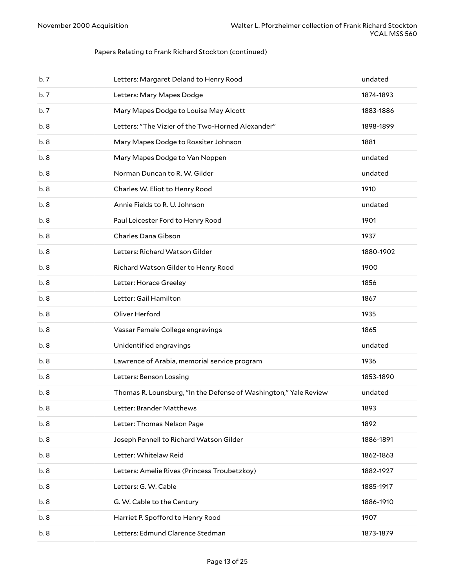| b.7  | Letters: Margaret Deland to Henry Rood                           | undated   |
|------|------------------------------------------------------------------|-----------|
| b.7  | Letters: Mary Mapes Dodge                                        | 1874-1893 |
| b.7  | Mary Mapes Dodge to Louisa May Alcott                            | 1883-1886 |
| b.8  | Letters: "The Vizier of the Two-Horned Alexander"                | 1898-1899 |
| b. 8 | Mary Mapes Dodge to Rossiter Johnson                             | 1881      |
| b.8  | Mary Mapes Dodge to Van Noppen                                   | undated   |
| b.8  | Norman Duncan to R. W. Gilder                                    | undated   |
| b.8  | Charles W. Eliot to Henry Rood                                   | 1910      |
| b.8  | Annie Fields to R. U. Johnson                                    | undated   |
| b.8  | Paul Leicester Ford to Henry Rood                                | 1901      |
| b.8  | Charles Dana Gibson                                              | 1937      |
| b.8  | Letters: Richard Watson Gilder                                   | 1880-1902 |
| b.8  | Richard Watson Gilder to Henry Rood                              | 1900      |
| b.8  | Letter: Horace Greeley                                           | 1856      |
| b.8  | Letter: Gail Hamilton                                            | 1867      |
| b.8  | Oliver Herford                                                   | 1935      |
| b.8  | Vassar Female College engravings                                 | 1865      |
| b.8  | Unidentified engravings                                          | undated   |
| b.8  | Lawrence of Arabia, memorial service program                     | 1936      |
| b.8  | Letters: Benson Lossing                                          | 1853-1890 |
| b.8  | Thomas R. Lounsburg, "In the Defense of Washington," Yale Review | undated   |
| b.8  | Letter: Brander Matthews                                         | 1893      |
| b.8  | Letter: Thomas Nelson Page                                       | 1892      |
| b.8  | Joseph Pennell to Richard Watson Gilder                          | 1886-1891 |
| b.8  | Letter: Whitelaw Reid                                            | 1862-1863 |
| b.8  | Letters: Amelie Rives (Princess Troubetzkoy)                     | 1882-1927 |
| b.8  | Letters: G. W. Cable                                             | 1885-1917 |
| b.8  | G. W. Cable to the Century                                       | 1886-1910 |
| b. 8 | Harriet P. Spofford to Henry Rood                                | 1907      |
| b.8  | Letters: Edmund Clarence Stedman                                 | 1873-1879 |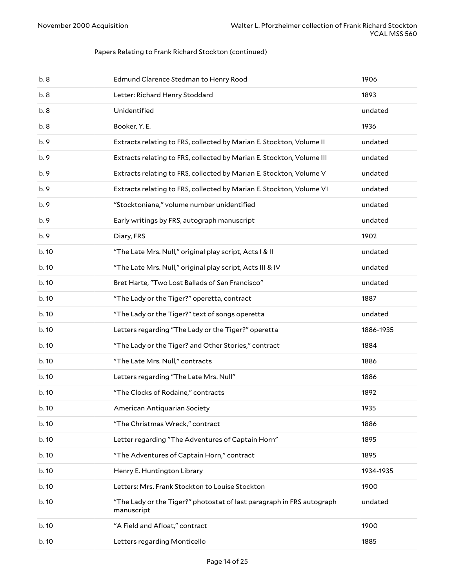| b.8   | Edmund Clarence Stedman to Henry Rood                                               | 1906      |
|-------|-------------------------------------------------------------------------------------|-----------|
| b.8   | Letter: Richard Henry Stoddard                                                      | 1893      |
| b.8   | Unidentified                                                                        | undated   |
| b.8   | Booker, Y. E.                                                                       | 1936      |
| b.9   | Extracts relating to FRS, collected by Marian E. Stockton, Volume II                | undated   |
| b.9   | Extracts relating to FRS, collected by Marian E. Stockton, Volume III               | undated   |
| b.9   | Extracts relating to FRS, collected by Marian E. Stockton, Volume V                 | undated   |
| b.9   | Extracts relating to FRS, collected by Marian E. Stockton, Volume VI                | undated   |
| b.9   | "Stocktoniana," volume number unidentified                                          | undated   |
| b.9   | Early writings by FRS, autograph manuscript                                         | undated   |
| b.9   | Diary, FRS                                                                          | 1902      |
| b. 10 | "The Late Mrs. Null," original play script, Acts I & II                             | undated   |
| b.10  | "The Late Mrs. Null," original play script, Acts III & IV                           | undated   |
| b.10  | Bret Harte, "Two Lost Ballads of San Francisco"                                     | undated   |
| b.10  | "The Lady or the Tiger?" operetta, contract                                         | 1887      |
| b.10  | "The Lady or the Tiger?" text of songs operetta                                     | undated   |
| b. 10 | Letters regarding "The Lady or the Tiger?" operetta                                 | 1886-1935 |
| b. 10 | "The Lady or the Tiger? and Other Stories," contract                                | 1884      |
| b. 10 | "The Late Mrs. Null," contracts                                                     | 1886      |
| b. 10 | Letters regarding "The Late Mrs. Null"                                              | 1886      |
| b. 10 | "The Clocks of Rodaine," contracts                                                  | 1892      |
| b. 10 | American Antiquarian Society                                                        | 1935      |
| b. 10 | "The Christmas Wreck," contract                                                     | 1886      |
| b. 10 | Letter regarding "The Adventures of Captain Horn"                                   | 1895      |
| b. 10 | "The Adventures of Captain Horn," contract                                          | 1895      |
| b. 10 | Henry E. Huntington Library                                                         | 1934-1935 |
| b. 10 | Letters: Mrs. Frank Stockton to Louise Stockton                                     | 1900      |
| b. 10 | "The Lady or the Tiger?" photostat of last paragraph in FRS autograph<br>manuscript | undated   |
| b.10  | "A Field and Afloat," contract                                                      | 1900      |
| b.10  | Letters regarding Monticello                                                        | 1885      |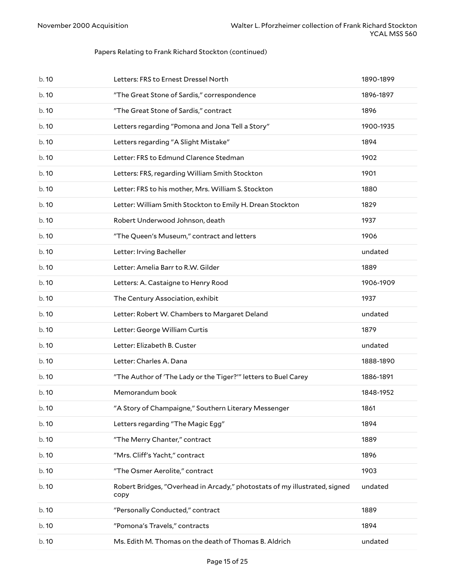| b.10  | Letters: FRS to Ernest Dressel North                                               | 1890-1899 |
|-------|------------------------------------------------------------------------------------|-----------|
| b. 10 | "The Great Stone of Sardis," correspondence                                        | 1896-1897 |
| b.10  | "The Great Stone of Sardis," contract                                              | 1896      |
| b.10  | Letters regarding "Pomona and Jona Tell a Story"                                   | 1900-1935 |
| b.10  | Letters regarding "A Slight Mistake"                                               | 1894      |
| b.10  | Letter: FRS to Edmund Clarence Stedman                                             | 1902      |
| b.10  | Letters: FRS, regarding William Smith Stockton                                     | 1901      |
| b. 10 | Letter: FRS to his mother, Mrs. William S. Stockton                                | 1880      |
| b.10  | Letter: William Smith Stockton to Emily H. Drean Stockton                          | 1829      |
| b.10  | Robert Underwood Johnson, death                                                    | 1937      |
| b.10  | "The Queen's Museum," contract and letters                                         | 1906      |
| b. 10 | Letter: Irving Bacheller                                                           | undated   |
| b.10  | Letter: Amelia Barr to R.W. Gilder                                                 | 1889      |
| b.10  | Letters: A. Castaigne to Henry Rood                                                | 1906-1909 |
| b.10  | The Century Association, exhibit                                                   | 1937      |
| b. 10 | Letter: Robert W. Chambers to Margaret Deland                                      | undated   |
| b.10  | Letter: George William Curtis                                                      | 1879      |
| b.10  | Letter: Elizabeth B. Custer                                                        | undated   |
| b.10  | Letter: Charles A. Dana                                                            | 1888-1890 |
| b. 10 | "The Author of 'The Lady or the Tiger?" letters to Buel Carey                      | 1886-1891 |
| b.10  | Memorandum book                                                                    | 1848-1952 |
| b. 10 | "A Story of Champaigne," Southern Literary Messenger                               | 1861      |
| b.10  | Letters regarding "The Magic Egg"                                                  | 1894      |
| b. 10 | "The Merry Chanter," contract                                                      | 1889      |
| b.10  | "Mrs. Cliff's Yacht," contract                                                     | 1896      |
| b. 10 | "The Osmer Aerolite," contract                                                     | 1903      |
| b. 10 | Robert Bridges, "Overhead in Arcady," photostats of my illustrated, signed<br>copy | undated   |
| b.10  | "Personally Conducted," contract                                                   | 1889      |
| b. 10 | "Pomona's Travels," contracts                                                      | 1894      |
| b. 10 | Ms. Edith M. Thomas on the death of Thomas B. Aldrich                              | undated   |
|       |                                                                                    |           |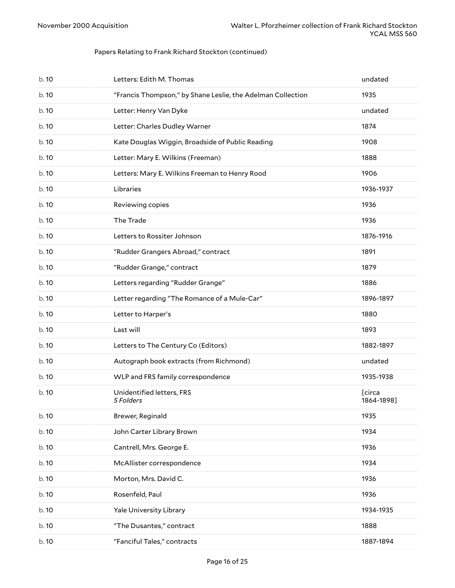| b.10  | Letters: Edith M. Thomas                                    | undated              |
|-------|-------------------------------------------------------------|----------------------|
| b. 10 | "Francis Thompson," by Shane Leslie, the Adelman Collection | 1935                 |
| b.10  | Letter: Henry Van Dyke                                      | undated              |
| b. 10 | Letter: Charles Dudley Warner                               | 1874                 |
| b.10  | Kate Douglas Wiggin, Broadside of Public Reading            | 1908                 |
| b. 10 | Letter: Mary E. Wilkins (Freeman)                           | 1888                 |
| b.10  | Letters: Mary E. Wilkins Freeman to Henry Rood              | 1906                 |
| b.10  | Libraries                                                   | 1936-1937            |
| b.10  | Reviewing copies                                            | 1936                 |
| b.10  | The Trade                                                   | 1936                 |
| b.10  | Letters to Rossiter Johnson                                 | 1876-1916            |
| b. 10 | "Rudder Grangers Abroad," contract                          | 1891                 |
| b. 10 | "Rudder Grange," contract                                   | 1879                 |
| b.10  | Letters regarding "Rudder Grange"                           | 1886                 |
| b.10  | Letter regarding "The Romance of a Mule-Car"                | 1896-1897            |
| b.10  | Letter to Harper's                                          | 1880                 |
| b. 10 | Last will                                                   | 1893                 |
| b. 10 | Letters to The Century Co (Editors)                         | 1882-1897            |
| b. 10 | Autograph book extracts (from Richmond)                     | undated              |
| b. 10 | WLP and FRS family correspondence                           | 1935-1938            |
| b. 10 | Unidentified letters, FRS<br>5 Folders                      | [circa<br>1864-1898] |
| b. 10 | Brewer, Reginald                                            | 1935                 |
| b. 10 | John Carter Library Brown                                   | 1934                 |
| b. 10 | Cantrell, Mrs. George E.                                    | 1936                 |
| b. 10 | McAllister correspondence                                   | 1934                 |
| b. 10 | Morton, Mrs. David C.                                       | 1936                 |
| b. 10 | Rosenfeld, Paul                                             | 1936                 |
| b. 10 | Yale University Library                                     | 1934-1935            |
| b. 10 | "The Dusantes," contract                                    | 1888                 |
| b. 10 | "Fanciful Tales," contracts                                 | 1887-1894            |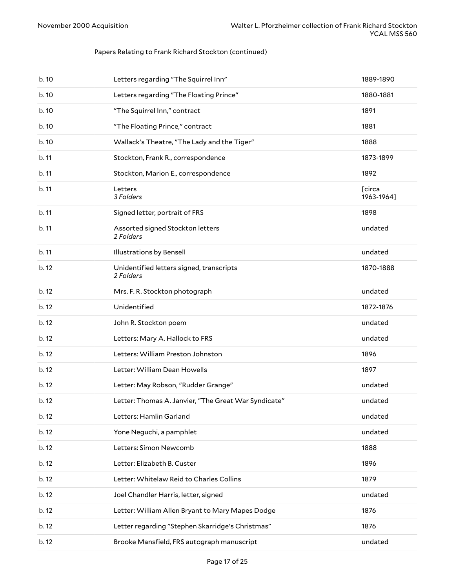| b. 10 | Letters regarding "The Squirrel Inn"                  | 1889-1890            |
|-------|-------------------------------------------------------|----------------------|
| b.10  | Letters regarding "The Floating Prince"               | 1880-1881            |
| b.10  | "The Squirrel Inn," contract                          | 1891                 |
| b. 10 | "The Floating Prince," contract                       | 1881                 |
| b. 10 | Wallack's Theatre, "The Lady and the Tiger"           | 1888                 |
| b.11  | Stockton, Frank R., correspondence                    | 1873-1899            |
| b.11  | Stockton, Marion E., correspondence                   | 1892                 |
| b.11  | Letters<br>3 Folders                                  | [circa<br>1963-1964] |
| b.11  | Signed letter, portrait of FRS                        | 1898                 |
| b.11  | Assorted signed Stockton letters<br>2 Folders         | undated              |
| b.11  | <b>Illustrations by Bensell</b>                       | undated              |
| b.12  | Unidentified letters signed, transcripts<br>2 Folders | 1870-1888            |
| b.12  | Mrs. F. R. Stockton photograph                        | undated              |
| b. 12 | Unidentified                                          | 1872-1876            |
| b.12  | John R. Stockton poem                                 | undated              |
| b.12  | Letters: Mary A. Hallock to FRS                       | undated              |
| b.12  | Letters: William Preston Johnston                     | 1896                 |
| b.12  | Letter: William Dean Howells                          | 1897                 |
| b.12  | Letter: May Robson, "Rudder Grange"                   | undated              |
| b. 12 | Letter: Thomas A. Janvier, "The Great War Syndicate"  | undated              |
| b.12  | Letters: Hamlin Garland                               | undated              |
| b.12  | Yone Neguchi, a pamphlet                              | undated              |
| b. 12 | Letters: Simon Newcomb                                | 1888                 |
| b. 12 | Letter: Elizabeth B. Custer                           | 1896                 |
| b. 12 | Letter: Whitelaw Reid to Charles Collins              | 1879                 |
| b. 12 | Joel Chandler Harris, letter, signed                  | undated              |
| b. 12 | Letter: William Allen Bryant to Mary Mapes Dodge      | 1876                 |
| b.12  | Letter regarding "Stephen Skarridge's Christmas"      | 1876                 |
| b. 12 | Brooke Mansfield, FRS autograph manuscript            | undated              |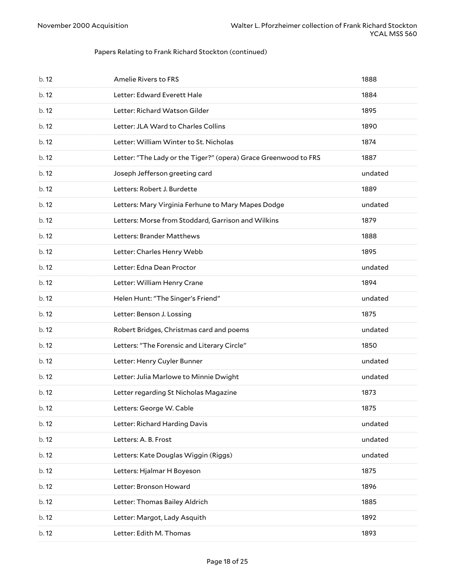| b.12  | Amelie Rivers to FRS                                            | 1888    |
|-------|-----------------------------------------------------------------|---------|
| b. 12 | Letter: Edward Everett Hale                                     | 1884    |
| b.12  | Letter: Richard Watson Gilder                                   | 1895    |
| b.12  | Letter: JLA Ward to Charles Collins                             | 1890    |
| b.12  | Letter: William Winter to St. Nicholas                          | 1874    |
| b.12  | Letter: "The Lady or the Tiger?" (opera) Grace Greenwood to FRS | 1887    |
| b. 12 | Joseph Jefferson greeting card                                  | undated |
| b.12  | Letters: Robert J. Burdette                                     | 1889    |
| b.12  | Letters: Mary Virginia Ferhune to Mary Mapes Dodge              | undated |
| b.12  | Letters: Morse from Stoddard, Garrison and Wilkins              | 1879    |
| b.12  | Letters: Brander Matthews                                       | 1888    |
| b.12  | Letter: Charles Henry Webb                                      | 1895    |
| b.12  | Letter: Edna Dean Proctor                                       | undated |
| b.12  | Letter: William Henry Crane                                     | 1894    |
| b.12  | Helen Hunt: "The Singer's Friend"                               | undated |
| b.12  | Letter: Benson J. Lossing                                       | 1875    |
| b. 12 | Robert Bridges, Christmas card and poems                        | undated |
| b.12  | Letters: "The Forensic and Literary Circle"                     | 1850    |
| b.12  | Letter: Henry Cuyler Bunner                                     | undated |
| b.12  | Letter: Julia Marlowe to Minnie Dwight                          | undated |
| b.12  | Letter regarding St Nicholas Magazine                           | 1873    |
| b. 12 | Letters: George W. Cable                                        | 1875    |
| b. 12 | Letter: Richard Harding Davis                                   | undated |
| b. 12 | Letters: A. B. Frost                                            | undated |
| b. 12 |                                                                 |         |
|       | Letters: Kate Douglas Wiggin (Riggs)                            | undated |
| b. 12 | Letters: Hjalmar H Boyeson                                      | 1875    |
| b. 12 | Letter: Bronson Howard                                          | 1896    |
| b. 12 | Letter: Thomas Bailey Aldrich                                   | 1885    |
| b. 12 | Letter: Margot, Lady Asquith                                    | 1892    |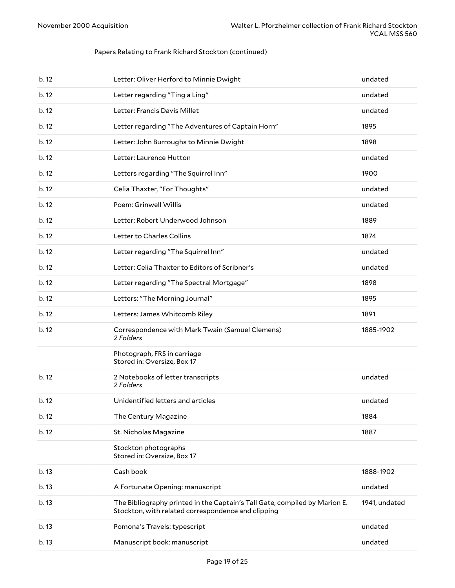| b. 12 | Letter: Oliver Herford to Minnie Dwight                                                                                          | undated       |
|-------|----------------------------------------------------------------------------------------------------------------------------------|---------------|
| b. 12 | Letter regarding "Ting a Ling"                                                                                                   | undated       |
| b.12  | Letter: Francis Davis Millet                                                                                                     | undated       |
| b.12  | Letter regarding "The Adventures of Captain Horn"                                                                                | 1895          |
| b.12  | Letter: John Burroughs to Minnie Dwight                                                                                          | 1898          |
| b.12  | Letter: Laurence Hutton                                                                                                          | undated       |
| b.12  | Letters regarding "The Squirrel Inn"                                                                                             | 1900          |
| b.12  | Celia Thaxter, "For Thoughts"                                                                                                    | undated       |
| b.12  | Poem: Grinwell Willis                                                                                                            | undated       |
| b.12  | Letter: Robert Underwood Johnson                                                                                                 | 1889          |
| b.12  | Letter to Charles Collins                                                                                                        | 1874          |
| b.12  | Letter regarding "The Squirrel Inn"                                                                                              | undated       |
| b.12  | Letter: Celia Thaxter to Editors of Scribner's                                                                                   | undated       |
| b.12  | Letter regarding "The Spectral Mortgage"                                                                                         | 1898          |
| b.12  | Letters: "The Morning Journal"                                                                                                   | 1895          |
| b.12  | Letters: James Whitcomb Riley                                                                                                    | 1891          |
| b.12  | Correspondence with Mark Twain (Samuel Clemens)<br>2 Folders                                                                     | 1885-1902     |
|       | Photograph, FRS in carriage<br>Stored in: Oversize, Box 17                                                                       |               |
| b.12  | 2 Notebooks of letter transcripts<br>2 Folders                                                                                   | undated       |
| b.12  | Unidentified letters and articles                                                                                                | undated       |
| b.12  | The Century Magazine                                                                                                             | 1884          |
| b.12  | St. Nicholas Magazine                                                                                                            | 1887          |
|       | Stockton photographs<br>Stored in: Oversize, Box 17                                                                              |               |
| b.13  | Cash book                                                                                                                        | 1888-1902     |
| b.13  | A Fortunate Opening: manuscript                                                                                                  | undated       |
| b.13  | The Bibliography printed in the Captain's Tall Gate, compiled by Marion E.<br>Stockton, with related correspondence and clipping | 1941, undated |
| b.13  | Pomona's Travels: typescript                                                                                                     | undated       |
| b.13  | Manuscript book: manuscript                                                                                                      | undated       |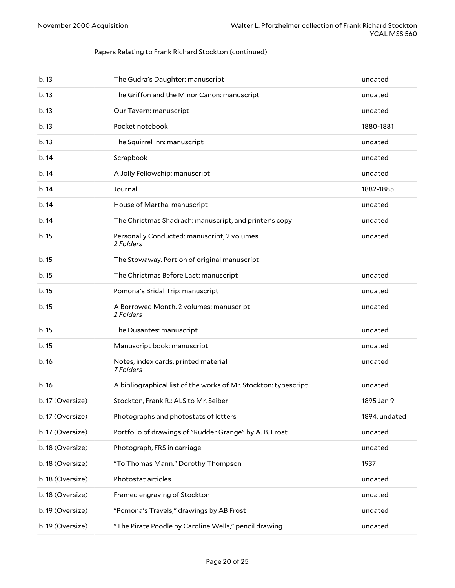| b. 13            | The Gudra's Daughter: manuscript                                | undated       |
|------------------|-----------------------------------------------------------------|---------------|
| b.13             | The Griffon and the Minor Canon: manuscript                     | undated       |
| b.13             | Our Tavern: manuscript                                          | undated       |
| b.13             | Pocket notebook                                                 | 1880-1881     |
| b.13             | The Squirrel Inn: manuscript                                    | undated       |
| b.14             | Scrapbook                                                       | undated       |
| b.14             | A Jolly Fellowship: manuscript                                  | undated       |
| b.14             | Journal                                                         | 1882-1885     |
| b.14             | House of Martha: manuscript                                     | undated       |
| b.14             | The Christmas Shadrach: manuscript, and printer's copy          | undated       |
| b. 15            | Personally Conducted: manuscript, 2 volumes<br>2 Folders        | undated       |
| b.15             | The Stowaway. Portion of original manuscript                    |               |
| b. 15            | The Christmas Before Last: manuscript                           | undated       |
| b.15             | Pomona's Bridal Trip: manuscript                                | undated       |
| b.15             | A Borrowed Month. 2 volumes: manuscript<br>2 Folders            | undated       |
| b. 15            | The Dusantes: manuscript                                        | undated       |
| b. 15            | Manuscript book: manuscript                                     | undated       |
| b.16             | Notes, index cards, printed material<br>7 Folders               | undated       |
| b.16             | A bibliographical list of the works of Mr. Stockton: typescript | undated       |
| b. 17 (Oversize) | Stockton, Frank R.: ALS to Mr. Seiber                           | 1895 Jan 9    |
| b. 17 (Oversize) | Photographs and photostats of letters                           | 1894, undated |
| b. 17 (Oversize) | Portfolio of drawings of "Rudder Grange" by A. B. Frost         | undated       |
| b. 18 (Oversize) | Photograph, FRS in carriage                                     | undated       |
| b. 18 (Oversize) | "To Thomas Mann," Dorothy Thompson                              | 1937          |
| b. 18 (Oversize) | Photostat articles                                              | undated       |
| b. 18 (Oversize) | Framed engraving of Stockton                                    | undated       |
| b. 19 (Oversize) | "Pomona's Travels," drawings by AB Frost                        | undated       |
| b. 19 (Oversize) | "The Pirate Poodle by Caroline Wells," pencil drawing           | undated       |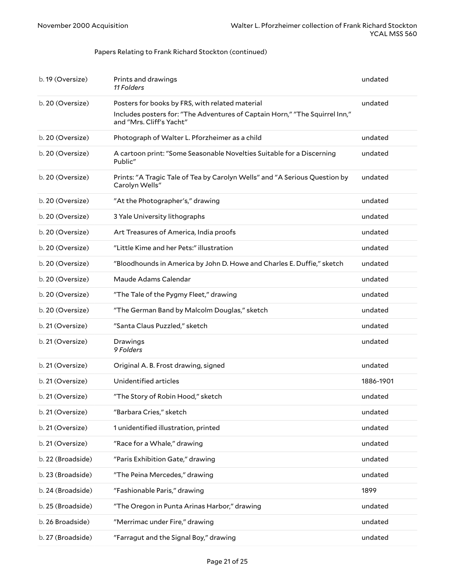| b. 19 (Oversize)  | Prints and drawings<br>11 Folders                                                                       | undated   |
|-------------------|---------------------------------------------------------------------------------------------------------|-----------|
| b. 20 (Oversize)  | Posters for books by FRS, with related material                                                         | undated   |
|                   | Includes posters for: "The Adventures of Captain Horn," "The Squirrel Inn,"<br>and "Mrs. Cliff's Yacht" |           |
| b. 20 (Oversize)  | Photograph of Walter L. Pforzheimer as a child                                                          | undated   |
| b. 20 (Oversize)  | A cartoon print: "Some Seasonable Novelties Suitable for a Discerning<br>Public"                        | undated   |
| b. 20 (Oversize)  | Prints: "A Tragic Tale of Tea by Carolyn Wells" and "A Serious Question by<br>Carolyn Wells"            | undated   |
| b. 20 (Oversize)  | "At the Photographer's," drawing                                                                        | undated   |
| b. 20 (Oversize)  | 3 Yale University lithographs                                                                           | undated   |
| b. 20 (Oversize)  | Art Treasures of America, India proofs                                                                  | undated   |
| b. 20 (Oversize)  | "Little Kime and her Pets:" illustration                                                                | undated   |
| b. 20 (Oversize)  | "Bloodhounds in America by John D. Howe and Charles E. Duffie," sketch                                  | undated   |
| b. 20 (Oversize)  | Maude Adams Calendar                                                                                    | undated   |
| b. 20 (Oversize)  | "The Tale of the Pygmy Fleet," drawing                                                                  | undated   |
| b. 20 (Oversize)  | "The German Band by Malcolm Douglas," sketch                                                            | undated   |
| b. 21 (Oversize)  | "Santa Claus Puzzled," sketch                                                                           | undated   |
| b. 21 (Oversize)  | Drawings<br>9 Folders                                                                                   | undated   |
| b. 21 (Oversize)  | Original A. B. Frost drawing, signed                                                                    | undated   |
| b. 21 (Oversize)  | Unidentified articles                                                                                   | 1886-1901 |
| b. 21 (Oversize)  | "The Story of Robin Hood," sketch                                                                       | undated   |
| b. 21 (Oversize)  | "Barbara Cries," sketch                                                                                 | undated   |
| b. 21 (Oversize)  | 1 unidentified illustration, printed                                                                    | undated   |
| b. 21 (Oversize)  | "Race for a Whale," drawing                                                                             | undated   |
| b. 22 (Broadside) | "Paris Exhibition Gate," drawing                                                                        | undated   |
| b. 23 (Broadside) | "The Peina Mercedes," drawing                                                                           | undated   |
| b. 24 (Broadside) | "Fashionable Paris," drawing                                                                            | 1899      |
| b. 25 (Broadside) | "The Oregon in Punta Arinas Harbor," drawing                                                            | undated   |
| b. 26 Broadside)  | "Merrimac under Fire," drawing                                                                          | undated   |
| b. 27 (Broadside) | "Farragut and the Signal Boy," drawing                                                                  | undated   |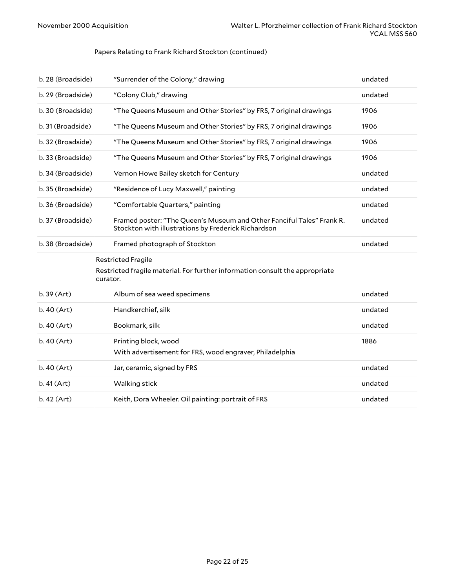<span id="page-21-0"></span>

| b. 28 (Broadside) | "Surrender of the Colony," drawing                                                                                           | undated |
|-------------------|------------------------------------------------------------------------------------------------------------------------------|---------|
| b. 29 (Broadside) | "Colony Club," drawing                                                                                                       | undated |
| b. 30 (Broadside) | "The Queens Museum and Other Stories" by FRS, 7 original drawings                                                            | 1906    |
| b. 31 (Broadside) | "The Queens Museum and Other Stories" by FRS, 7 original drawings                                                            | 1906    |
| b. 32 (Broadside) | "The Queens Museum and Other Stories" by FRS, 7 original drawings                                                            | 1906    |
| b. 33 (Broadside) | "The Queens Museum and Other Stories" by FRS, 7 original drawings                                                            | 1906    |
| b. 34 (Broadside) | Vernon Howe Bailey sketch for Century                                                                                        | undated |
| b. 35 (Broadside) | "Residence of Lucy Maxwell," painting                                                                                        | undated |
| b. 36 (Broadside) | "Comfortable Quarters," painting                                                                                             | undated |
| b. 37 (Broadside) | Framed poster: "The Queen's Museum and Other Fanciful Tales" Frank R.<br>Stockton with illustrations by Frederick Richardson | undated |
| b. 38 (Broadside) | Framed photograph of Stockton                                                                                                | undated |
|                   | <b>Restricted Fragile</b><br>Restricted fragile material. For further information consult the appropriate<br>curator.        |         |
| $b.39$ (Art)      | Album of sea weed specimens                                                                                                  | undated |
| $b.40$ (Art)      | Handkerchief, silk                                                                                                           | undated |
| $b.40$ (Art)      | Bookmark, silk                                                                                                               | undated |
| b.40 (Art)        | Printing block, wood<br>With advertisement for FRS, wood engraver, Philadelphia                                              | 1886    |
| $b.40$ (Art)      | Jar, ceramic, signed by FRS                                                                                                  | undated |
| b.41 (Art)        | Walking stick                                                                                                                | undated |
| b.42 (Art)        | Keith, Dora Wheeler. Oil painting: portrait of FRS                                                                           | undated |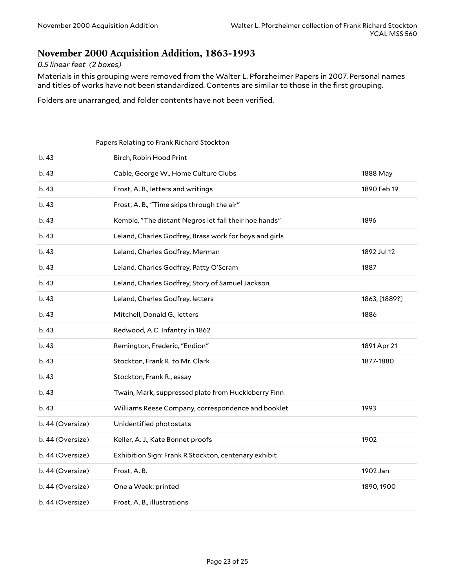### <span id="page-22-0"></span>**November 2000 Acquisition Addition, 1863-1993**

#### *0.5 linear feet (2 boxes)*

Materials in this grouping were removed from the Walter L. Pforzheimer Papers in 2007. Personal names and titles of works have not been standardized. Contents are similar to those in the first grouping.

Folders are unarranged, and folder contents have not been verified.

<span id="page-22-1"></span>

|                  | Papers Relating to Frank Richard Stockton              |               |
|------------------|--------------------------------------------------------|---------------|
| b. 43            | Birch, Robin Hood Print                                |               |
| b.43             | Cable, George W., Home Culture Clubs                   | 1888 May      |
| b.43             | Frost, A. B., letters and writings                     | 1890 Feb 19   |
| b. 43            | Frost, A. B., "Time skips through the air"             |               |
| b.43             | Kemble, "The distant Negros let fall their hoe hands"  | 1896          |
| b.43             | Leland, Charles Godfrey, Brass work for boys and girls |               |
| b.43             | Leland, Charles Godfrey, Merman                        | 1892 Jul 12   |
| b.43             | Leland, Charles Godfrey, Patty O'Scram                 | 1887          |
| b.43             | Leland, Charles Godfrey, Story of Samuel Jackson       |               |
| b. 43            | Leland, Charles Godfrey, letters                       | 1863, [1889?] |
| b.43             | Mitchell, Donald G., letters                           | 1886          |
| b. 43            | Redwood, A.C. Infantry in 1862                         |               |
| b.43             | Remington, Frederic, "Endion"                          | 1891 Apr 21   |
| b. 43            | Stockton, Frank R. to Mr. Clark                        | 1877-1880     |
| b.43             | Stockton, Frank R., essay                              |               |
| b.43             | Twain, Mark, suppressed plate from Huckleberry Finn    |               |
| b. 43            | Williams Reese Company, correspondence and booklet     | 1993          |
| b. 44 (Oversize) | Unidentified photostats                                |               |
| b. 44 (Oversize) | Keller, A. J., Kate Bonnet proofs                      | 1902          |
| b. 44 (Oversize) | Exhibition Sign: Frank R Stockton, centenary exhibit   |               |
| b. 44 (Oversize) | Frost, A.B.                                            | 1902 Jan      |
| b. 44 (Oversize) | One a Week: printed                                    | 1890, 1900    |
| b. 44 (Oversize) | Frost, A. B., illustrations                            |               |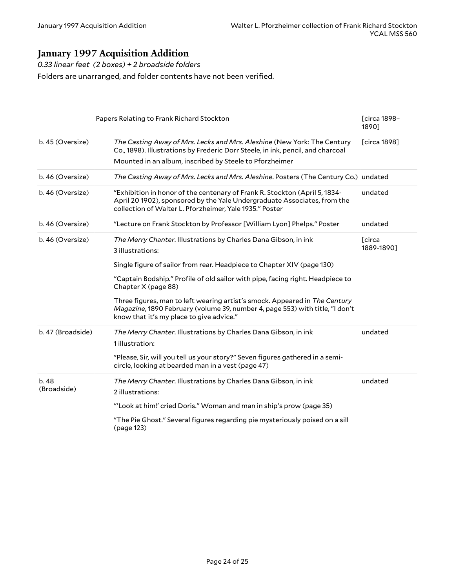# <span id="page-23-0"></span>**January 1997 Acquisition Addition**

*0.33 linear feet (2 boxes) + 2 broadside folders*

Folders are unarranged, and folder contents have not been verified.

<span id="page-23-1"></span>

|                     | Papers Relating to Frank Richard Stockton                                                                                                                                                                         | <b>[circa 1898-</b><br>1890] |
|---------------------|-------------------------------------------------------------------------------------------------------------------------------------------------------------------------------------------------------------------|------------------------------|
| b. 45 (Oversize)    | The Casting Away of Mrs. Lecks and Mrs. Aleshine (New York: The Century<br>Co., 1898). Illustrations by Frederic Dorr Steele, in ink, pencil, and charcoal                                                        | [circa 1898]                 |
|                     | Mounted in an album, inscribed by Steele to Pforzheimer                                                                                                                                                           |                              |
| b. 46 (Oversize)    | The Casting Away of Mrs. Lecks and Mrs. Aleshine. Posters (The Century Co.) undated                                                                                                                               |                              |
| b. 46 (Oversize)    | "Exhibition in honor of the centenary of Frank R. Stockton (April 5, 1834-<br>April 20 1902), sponsored by the Yale Undergraduate Associates, from the<br>collection of Walter L. Pforzheimer, Yale 1935." Poster | undated                      |
| b. 46 (Oversize)    | "Lecture on Frank Stockton by Professor [William Lyon] Phelps." Poster                                                                                                                                            | undated                      |
| b. 46 (Oversize)    | The Merry Chanter. Illustrations by Charles Dana Gibson, in ink<br>3 illustrations:                                                                                                                               | <b>T</b> circa<br>1889-1890] |
|                     | Single figure of sailor from rear. Headpiece to Chapter XIV (page 130)                                                                                                                                            |                              |
|                     | "Captain Bodship." Profile of old sailor with pipe, facing right. Headpiece to<br>Chapter X (page 88)                                                                                                             |                              |
|                     | Three figures, man to left wearing artist's smock. Appeared in The Century<br>Magazine, 1890 February (volume 39, number 4, page 553) with title, "I don't<br>know that it's my place to give advice."            |                              |
| b. 47 (Broadside)   | The Merry Chanter. Illustrations by Charles Dana Gibson, in ink<br>1 illustration:                                                                                                                                | undated                      |
|                     | "Please, Sir, will you tell us your story?" Seven figures gathered in a semi-<br>circle, looking at bearded man in a vest (page 47)                                                                               |                              |
| b.48<br>(Broadside) | The Merry Chanter. Illustrations by Charles Dana Gibson, in ink                                                                                                                                                   | undated                      |
|                     | 2 illustrations:                                                                                                                                                                                                  |                              |
|                     | "'Look at him!' cried Doris." Woman and man in ship's prow (page 35)                                                                                                                                              |                              |
|                     | "The Pie Ghost." Several figures regarding pie mysteriously poised on a sill<br>(page 123)                                                                                                                        |                              |